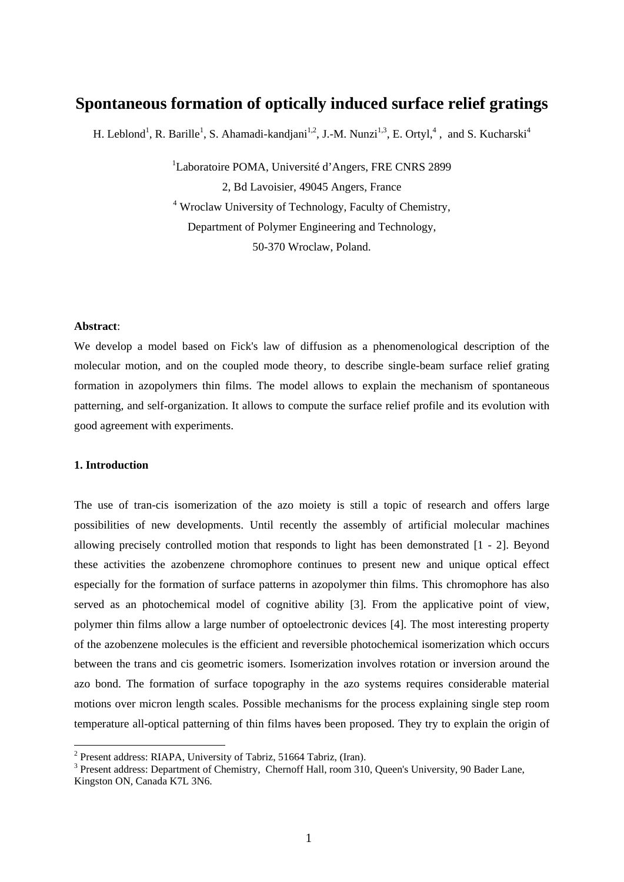# **Spontaneous formation of optically induced surface relief gratings**

H. Leblond<sup>1</sup>, R. Barille<sup>1</sup>, S. Ahamadi-kandjani<sup>1,2</sup>, J.-M. Nunzi<sup>1,3</sup>, E. Ortyl,<sup>4</sup>, and S. Kucharski<sup>4</sup>

<sup>1</sup>Laboratoire POMA, Université d'Angers, FRE CNRS 2899 2, Bd Lavoisier, 49045 Angers, France 4 Wroclaw University of Technology, Faculty of Chemistry, Department of Polymer Engineering and Technology, 50-370 Wroclaw, Poland.

#### **Abstract**:

We develop a model based on Fick's law of diffusion as a phenomenological description of the molecular motion, and on the coupled mode theory, to describe single-beam surface relief grating formation in azopolymers thin films. The model allows to explain the mechanism of spontaneous patterning, and self-organization. It allows to compute the surface relief profile and its evolution with good agreement with experiments.

# **1. Introduction**

1

The use of tran-cis isomerization of the azo moiety is still a topic of research and offers large possibilities of new developments. Until recently the assembly of artificial molecular machines allowing precisely controlled motion that responds to light has been demonstrated [1 - 2]. Beyond these activities the azobenzene chromophore continues to present new and unique optical effect especially for the formation of surface patterns in azopolymer thin films. This chromophore has also served as an photochemical model of cognitive ability [3]. From the applicative point of view, polymer thin films allow a large number of optoelectronic devices [4]. The most interesting property of the azobenzene molecules is the efficient and reversible photochemical isomerization which occurs between the trans and cis geometric isomers. Isomerization involves rotation or inversion around the azo bond. The formation of surface topography in the azo systems requires considerable material motions over micron length scales. Possible mechanisms for the process explaining single step room temperature all-optical patterning of thin films haves been proposed. They try to explain the origin of

<sup>&</sup>lt;sup>2</sup> Present address: RIAPA, University of Tabriz, 51664 Tabriz, (Iran).

<sup>&</sup>lt;sup>3</sup> Present address: Department of Chemistry, Chernoff Hall, room 310, Queen's University, 90 Bader Lane, Kingston ON, Canada K7L 3N6.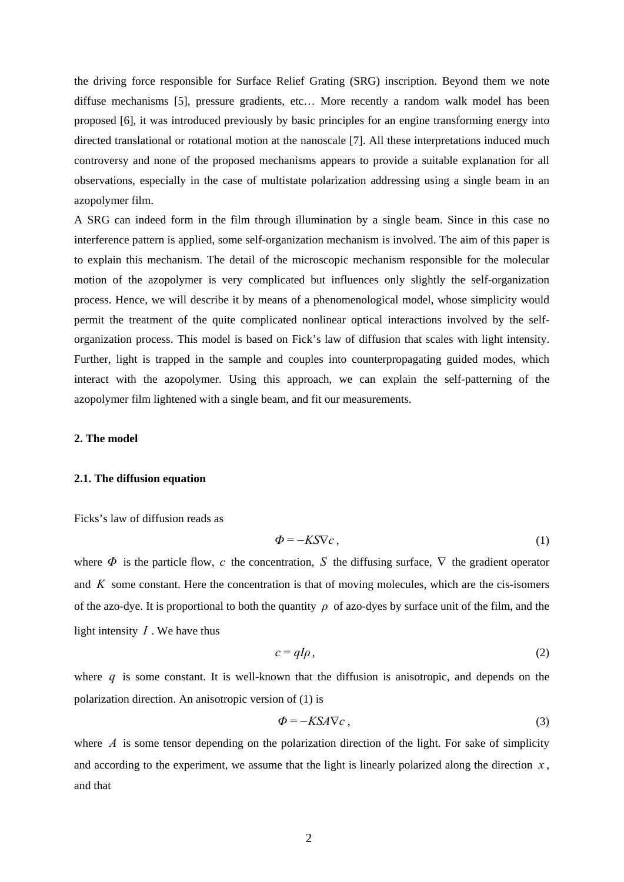the driving force responsible for Surface Relief Grating (SRG) inscription. Beyond them we note diffuse mechanisms [5], pressure gradients, etc… More recently a random walk model has been proposed [6], it was introduced previously by basic principles for an engine transforming energy into directed translational or rotational motion at the nanoscale [7]. All these interpretations induced much controversy and none of the proposed mechanisms appears to provide a suitable explanation for all observations, especially in the case of multistate polarization addressing using a single beam in an azopolymer film.

A SRG can indeed form in the film through illumination by a single beam. Since in this case no interference pattern is applied, some self-organization mechanism is involved. The aim of this paper is to explain this mechanism. The detail of the microscopic mechanism responsible for the molecular motion of the azopolymer is very complicated but influences only slightly the self-organization process. Hence, we will describe it by means of a phenomenological model, whose simplicity would permit the treatment of the quite complicated nonlinear optical interactions involved by the selforganization process. This model is based on Fick's law of diffusion that scales with light intensity. Further, light is trapped in the sample and couples into counterpropagating guided modes, which interact with the azopolymer. Using this approach, we can explain the self-patterning of the azopolymer film lightened with a single beam, and fit our measurements.

#### **2. The model**

#### **2.1. The diffusion equation**

Ficks's law of diffusion reads as

$$
\Phi = -K S \nabla c \,, \tag{1}
$$

where  $\Phi$  is the particle flow, *c* the concentration, *S* the diffusing surface,  $\nabla$  the gradient operator and  $K$  some constant. Here the concentration is that of moving molecules, which are the cis-isomers of the azo-dye. It is proportional to both the quantity *ρ* of azo-dyes by surface unit of the film, and the light intensity *I* . We have thus

$$
c = qI\rho \tag{2}
$$

where *q* is some constant. It is well-known that the diffusion is anisotropic, and depends on the polarization direction. An anisotropic version of (1) is

$$
\Phi = -KSA\nabla c \tag{3}
$$

where  $\Lambda$  is some tensor depending on the polarization direction of the light. For sake of simplicity and according to the experiment, we assume that the light is linearly polarized along the direction  $x$ , and that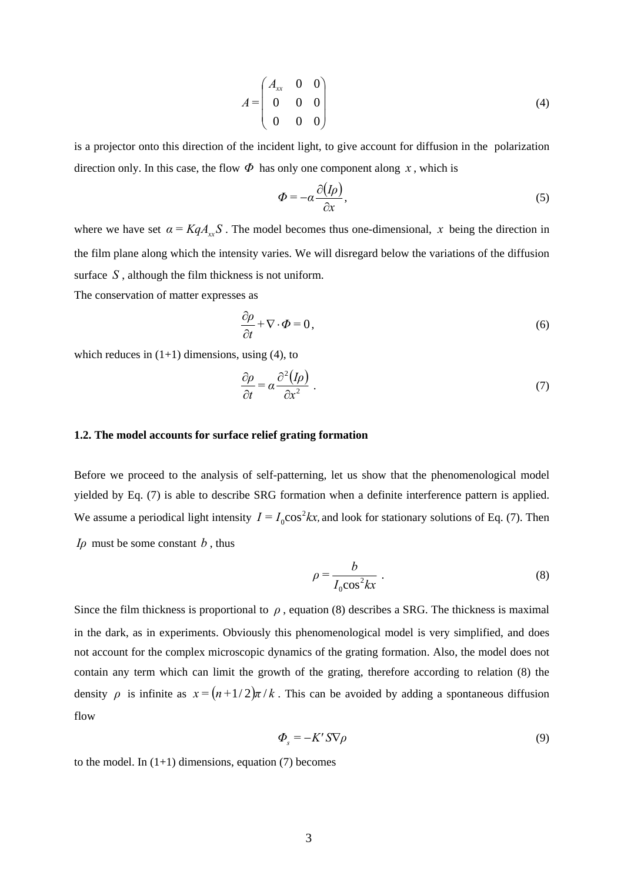$$
A = \begin{pmatrix} A_{xx} & 0 & 0 \\ 0 & 0 & 0 \\ 0 & 0 & 0 \end{pmatrix}
$$
 (4)

is a projector onto this direction of the incident light, to give account for diffusion in the polarization direction only. In this case, the flow  $\Phi$  has only one component along *x*, which is

$$
\Phi = -\alpha \frac{\partial (I\rho)}{\partial x},\tag{5}
$$

where we have set  $\alpha = KqA_rS$ . The model becomes thus one-dimensional, x being the direction in the film plane along which the intensity varies. We will disregard below the variations of the diffusion surface *S* , although the film thickness is not uniform.

The conservation of matter expresses as

$$
\frac{\partial \rho}{\partial t} + \nabla \cdot \phi = 0, \qquad (6)
$$

which reduces in  $(1+1)$  dimensions, using (4), to

$$
\frac{\partial \rho}{\partial t} = \alpha \frac{\partial^2 (I \rho)}{\partial x^2} \tag{7}
$$

#### **1.2. The model accounts for surface relief grating formation**

Before we proceed to the analysis of self-patterning, let us show that the phenomenological model yielded by Eq. (7) is able to describe SRG formation when a definite interference pattern is applied. We assume a periodical light intensity  $I = I_0 \cos^2 kx$ , and look for stationary solutions of Eq. (7). Then *I* $\rho$  must be some constant  $b$ , thus

$$
\rho = \frac{b}{I_0 \cos^2 kx} \tag{8}
$$

Since the film thickness is proportional to  $\rho$ , equation (8) describes a SRG. The thickness is maximal in the dark, as in experiments. Obviously this phenomenological model is very simplified, and does not account for the complex microscopic dynamics of the grating formation. Also, the model does not contain any term which can limit the growth of the grating, therefore according to relation (8) the density *ρ* is infinite as  $x = (n+1/2)\pi/k$ . This can be avoided by adding a spontaneous diffusion flow

$$
\Phi_s = -K' S \nabla \rho \tag{9}
$$

to the model. In  $(1+1)$  dimensions, equation (7) becomes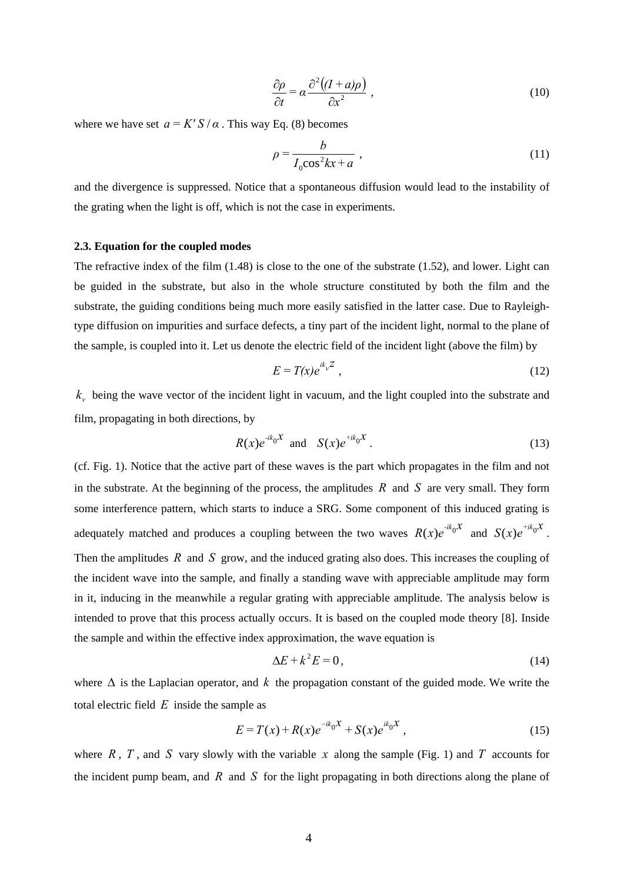$$
\frac{\partial \rho}{\partial t} = \alpha \frac{\partial^2 ((I + a)\rho)}{\partial x^2} \,, \tag{10}
$$

where we have set  $a = K' S / \alpha$ . This way Eq. (8) becomes

$$
\rho = \frac{b}{I_0 \cos^2 kx + a} \tag{11}
$$

and the divergence is suppressed. Notice that a spontaneous diffusion would lead to the instability of the grating when the light is off, which is not the case in experiments.

# **2.3. Equation for the coupled modes**

The refractive index of the film (1.48) is close to the one of the substrate (1.52), and lower. Light can be guided in the substrate, but also in the whole structure constituted by both the film and the substrate, the guiding conditions being much more easily satisfied in the latter case. Due to Rayleightype diffusion on impurities and surface defects, a tiny part of the incident light, normal to the plane of the sample, is coupled into it. Let us denote the electric field of the incident light (above the film) by

$$
E = T(x)e^{ik_yZ} \t{12}
$$

 $k_{v}$  being the wave vector of the incident light in vacuum, and the light coupled into the substrate and film, propagating in both directions, by

$$
R(x)e^{-ik_0x} \text{ and } S(x)e^{+ik_0x}.
$$
 (13)

(cf. Fig. 1). Notice that the active part of these waves is the part which propagates in the film and not in the substrate. At the beginning of the process, the amplitudes *R* and *S* are very small. They form some interference pattern, which starts to induce a SRG. Some component of this induced grating is adequately matched and produces a coupling between the two waves  $R(x)e^{-ik_0x}$  and  $S(x)e^{+ik_0x}$ . Then the amplitudes *R* and *S* grow, and the induced grating also does. This increases the coupling of the incident wave into the sample, and finally a standing wave with appreciable amplitude may form in it, inducing in the meanwhile a regular grating with appreciable amplitude. The analysis below is intended to prove that this process actually occurs. It is based on the coupled mode theory [8]. Inside the sample and within the effective index approximation, the wave equation is

$$
\Delta E + k^2 E = 0, \tag{14}
$$

where  $\Delta$  is the Laplacian operator, and k the propagation constant of the guided mode. We write the total electric field *E* inside the sample as

$$
E = T(x) + R(x)e^{-ik_0X} + S(x)e^{ik_0X},
$$
\n(15)

where  $R$ ,  $T$ , and  $S$  vary slowly with the variable  $x$  along the sample (Fig. 1) and  $T$  accounts for the incident pump beam, and *R* and *S* for the light propagating in both directions along the plane of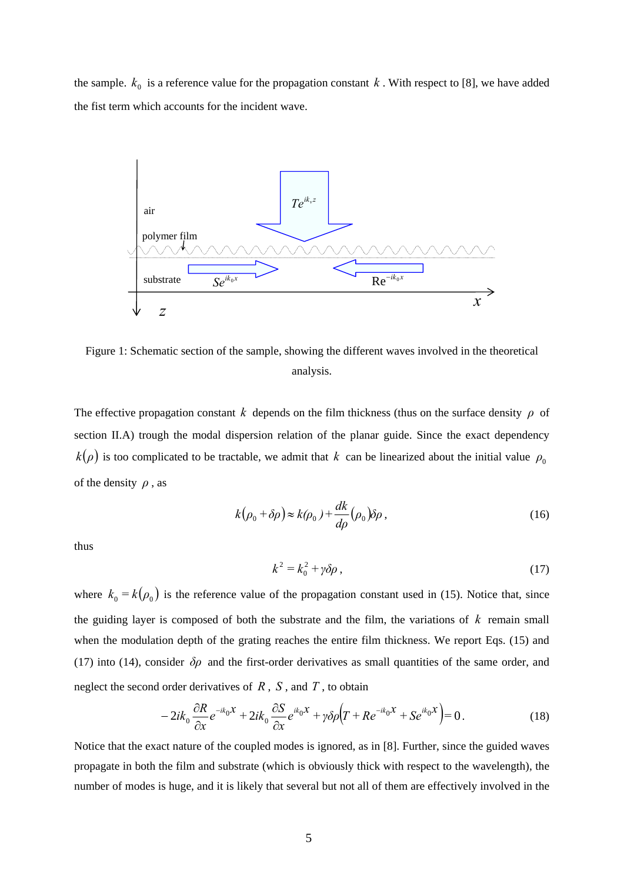the sample.  $k_0$  is a reference value for the propagation constant  $k$ . With respect to [8], we have added the fist term which accounts for the incident wave.



Figure 1: Schematic section of the sample, showing the different waves involved in the theoretical analysis.

The effective propagation constant *k* depends on the film thickness (thus on the surface density  $\rho$  of section II.A) trough the modal dispersion relation of the planar guide. Since the exact dependency  $k(\rho)$  is too complicated to be tractable, we admit that *k* can be linearized about the initial value  $\rho_0$ of the density *ρ* , as

$$
k(\rho_0 + \delta \rho) \approx k(\rho_0) + \frac{dk}{d\rho} (\rho_0) \delta \rho ,
$$
 (16)

thus

$$
k^2 = k_0^2 + \gamma \delta \rho \,, \tag{17}
$$

where  $k_0 = k(\rho_0)$  is the reference value of the propagation constant used in (15). Notice that, since the guiding layer is composed of both the substrate and the film, the variations of *k* remain small when the modulation depth of the grating reaches the entire film thickness. We report Eqs. (15) and (17) into (14), consider  $\delta \rho$  and the first-order derivatives as small quantities of the same order, and neglect the second order derivatives of  $R$ ,  $S$ , and  $T$ , to obtain

$$
-2ik_0\frac{\partial R}{\partial x}e^{-ik_0X} + 2ik_0\frac{\partial S}{\partial x}e^{ik_0X} + \gamma\delta\rho\Big(T + Re^{-ik_0X} + Se^{ik_0X}\Big) = 0.
$$
 (18)

Notice that the exact nature of the coupled modes is ignored, as in [8]. Further, since the guided waves propagate in both the film and substrate (which is obviously thick with respect to the wavelength), the number of modes is huge, and it is likely that several but not all of them are effectively involved in the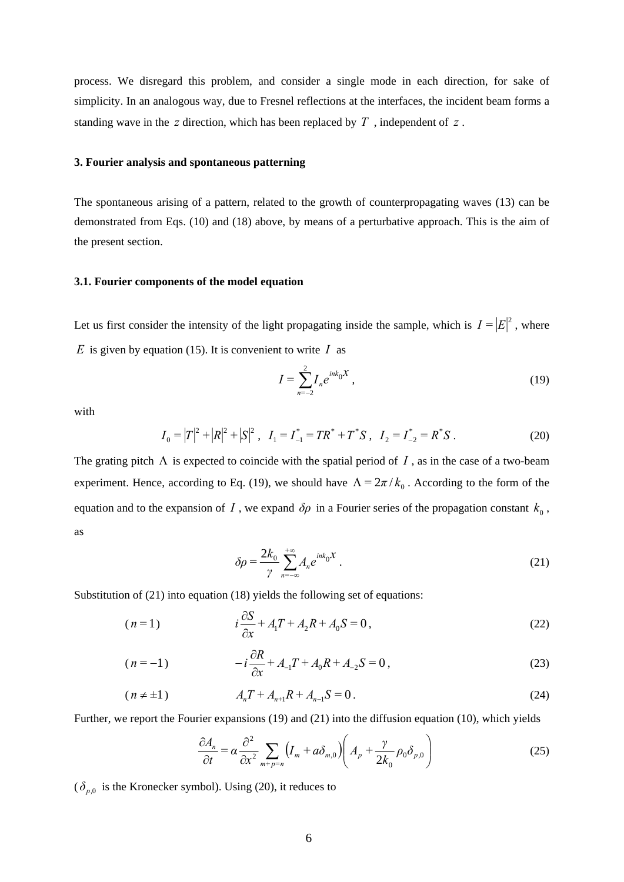process. We disregard this problem, and consider a single mode in each direction, for sake of simplicity. In an analogous way, due to Fresnel reflections at the interfaces, the incident beam forms a standing wave in the *z* direction, which has been replaced by *T* , independent of *z* .

# **3. Fourier analysis and spontaneous patterning**

The spontaneous arising of a pattern, related to the growth of counterpropagating waves (13) can be demonstrated from Eqs. (10) and (18) above, by means of a perturbative approach. This is the aim of the present section.

# **3.1. Fourier components of the model equation**

Let us first consider the intensity of the light propagating inside the sample, which is  $I = |E|^2$ , where *E* is given by equation (15). It is convenient to write  $I$  as

$$
I = \sum_{n=-2}^{2} I_n e^{ink_0 X},
$$
 (19)

with

$$
I_0 = |T|^2 + |R|^2 + |S|^2, \quad I_1 = I_{-1}^* = TR^* + T^*S, \quad I_2 = I_{-2}^* = R^*S.
$$
 (20)

The grating pitch  $\Lambda$  is expected to coincide with the spatial period of  $I$ , as in the case of a two-beam experiment. Hence, according to Eq. (19), we should have  $\Lambda = 2\pi / k_0$ . According to the form of the equation and to the expansion of *I*, we expand  $\delta \rho$  in a Fourier series of the propagation constant  $k_0$ , as

$$
\delta \rho = \frac{2k_0}{\gamma} \sum_{n=-\infty}^{+\infty} A_n e^{ink_0 X} \,. \tag{21}
$$

Substitution of (21) into equation (18) yields the following set of equations:

$$
(n=1) \t i\frac{\partial S}{\partial x} + A_1 T + A_2 R + A_0 S = 0, \t (22)
$$

$$
(n=-1) \t -i\frac{\partial R}{\partial x} + A_{-1}T + A_0R + A_{-2}S = 0, \t (23)
$$

$$
(n \neq \pm 1) \qquad A_n T + A_{n+1} R + A_{n-1} S = 0. \tag{24}
$$

Further, we report the Fourier expansions (19) and (21) into the diffusion equation (10), which yields

$$
\frac{\partial A_n}{\partial t} = \alpha \frac{\partial^2}{\partial x^2} \sum_{m+p=n} \left( I_m + a \delta_{m,0} \right) \left( A_p + \frac{\gamma}{2k_0} \rho_0 \delta_{p,0} \right)
$$
(25)

 $(\delta_{p,0}$  is the Kronecker symbol). Using (20), it reduces to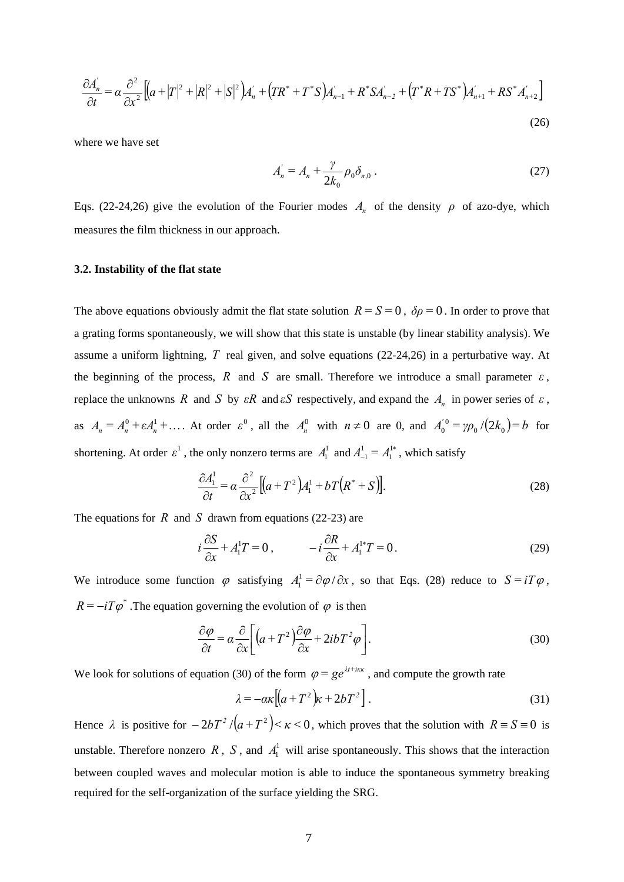$$
\frac{\partial A'_{n}}{\partial t} = \alpha \frac{\partial^{2}}{\partial x^{2}} \left[ \left( a + |T|^{2} + |R|^{2} + |S|^{2} \right) A'_{n} + \left( TR^{*} + T^{*}S \right) A'_{n-1} + R^{*} S A'_{n-2} + \left( T^{*} R + T S^{*} \right) A'_{n+1} + R S^{*} A'_{n+2} \right]
$$
\n(26)

where we have set

$$
A_n = A_n + \frac{\gamma}{2k_0} \rho_0 \delta_{n,0} \,. \tag{27}
$$

Eqs. (22-24,26) give the evolution of the Fourier modes  $A_n$  of the density  $\rho$  of azo-dye, which measures the film thickness in our approach.

#### **3.2. Instability of the flat state**

The above equations obviously admit the flat state solution  $R = S = 0$ ,  $\delta \rho = 0$ . In order to prove that a grating forms spontaneously, we will show that this state is unstable (by linear stability analysis). We assume a uniform lightning, *T* real given, and solve equations (22-24,26) in a perturbative way. At the beginning of the process,  $R$  and  $S$  are small. Therefore we introduce a small parameter  $\varepsilon$ , replace the unknowns *R* and *S* by *εR* and *εS* respectively, and expand the  $A_n$  in power series of *ε*, as  $A_n = A_n^0 + \varepsilon A_n^1 + \dots$  At order  $\varepsilon^0$ , all the  $A_n^0$  with  $n \neq 0$  are 0, and  $A_0^{'0} = \gamma \rho_0 / (2k_0) = b$  $y_0^{0} = \gamma \rho_0 / (2k_0) = b$  for shortening. At order  $\varepsilon^1$ , the only nonzero terms are  $A_1^1$  and  $A_{-1}^1 = A_1^{1*}$ 1  $A_{-1}^1 = A_1^{1*}$ , which satisfy

$$
\frac{\partial A_1^1}{\partial t} = \alpha \frac{\partial^2}{\partial x^2} \left[ \left( a + T^2 \right) A_1^1 + b \, T \left( R^* + S \right) \right]. \tag{28}
$$

The equations for *R* and *S* drawn from equations (22-23) are

$$
i\frac{\partial S}{\partial x} + A_1^1 T = 0, \qquad -i\frac{\partial R}{\partial x} + A_1^{1*} T = 0.
$$
 (29)

We introduce some function  $\varphi$  satisfying  $A_1^1 = \partial \varphi / \partial x$ , so that Eqs. (28) reduce to  $S = iT \varphi$ ,  $R = -iT\phi^*$ . The equation governing the evolution of  $\phi$  is then

$$
\frac{\partial \varphi}{\partial t} = \alpha \frac{\partial}{\partial x} \bigg[ \big( a + T^2 \big) \frac{\partial \varphi}{\partial x} + 2ibT^2 \varphi \bigg].
$$
\n(30)

We look for solutions of equation (30) of the form  $\varphi = ge^{\lambda t + i\kappa x}$ , and compute the growth rate

$$
\lambda = -\alpha \kappa \left[ \left( a + T^2 \right) \kappa + 2bT^2 \right]. \tag{31}
$$

Hence  $\lambda$  is positive for  $-2bT^2/(a+T^2) < \kappa < 0$ , which proves that the solution with  $R = S = 0$  is unstable. Therefore nonzero  $R$ ,  $S$ , and  $A<sub>1</sub><sup>1</sup>$  will arise spontaneously. This shows that the interaction between coupled waves and molecular motion is able to induce the spontaneous symmetry breaking required for the self-organization of the surface yielding the SRG.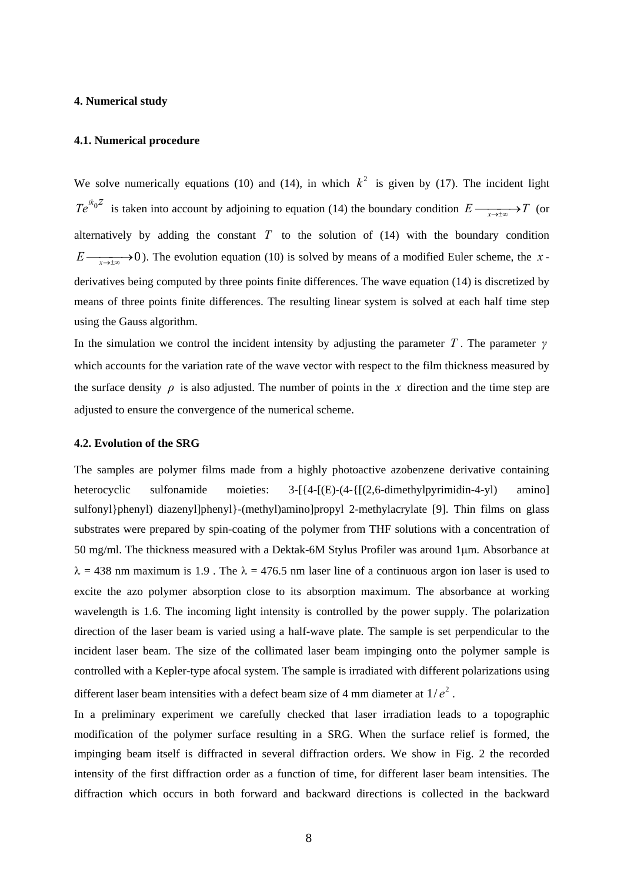# **4. Numerical study**

#### **4.1. Numerical procedure**

We solve numerically equations (10) and (14), in which  $k^2$  is given by (17). The incident light  $Te^{ik_0Z}$  is taken into account by adjoining to equation (14) the boundary condition  $E \xrightarrow[x \to \pm \infty]{} T$  (or alternatively by adding the constant  $T$  to the solution of  $(14)$  with the boundary condition  $E \rightarrow \infty$  *E*  $\rightarrow$  *E*  $\rightarrow$  *E*  $\rightarrow$  *E*  $\rightarrow$  *E*  $\rightarrow$  *E*  $\rightarrow$  *E*  $\rightarrow$  *E*  $\rightarrow$  *E*  $\rightarrow$  *E*  $\rightarrow$  *E*  $\rightarrow$  *E*  $\rightarrow$  *E*  $\rightarrow$  *E*  $\rightarrow$  *E*  $\rightarrow$  *E*  $\rightarrow$  *E*  $\rightarrow$  *E*  $\rightarrow$  *E*  $\rightarrow$  *E*  $\rightarrow$  *E*  $\rightarrow$  *E*  $\rightarrow$  *E*  $\rightarrow$  *E* derivatives being computed by three points finite differences. The wave equation (14) is discretized by means of three points finite differences. The resulting linear system is solved at each half time step using the Gauss algorithm.

In the simulation we control the incident intensity by adjusting the parameter *T*. The parameter  $\gamma$ which accounts for the variation rate of the wave vector with respect to the film thickness measured by the surface density  $\rho$  is also adjusted. The number of points in the *x* direction and the time step are adjusted to ensure the convergence of the numerical scheme.

#### **4.2. Evolution of the SRG**

The samples are polymer films made from a highly photoactive azobenzene derivative containing heterocyclic sulfonamide moieties:  $3-[{4-[E)-(4-{[(2,6-dimethylpyrimidin-4-y])}}$  amino] sulfonyl}phenyl) diazenyl]phenyl}-(methyl)amino]propyl 2-methylacrylate [9]. Thin films on glass substrates were prepared by spin-coating of the polymer from THF solutions with a concentration of 50 mg/ml. The thickness measured with a Dektak-6M Stylus Profiler was around 1μm. Absorbance at  $\lambda$  = 438 nm maximum is 1.9. The  $\lambda$  = 476.5 nm laser line of a continuous argon ion laser is used to excite the azo polymer absorption close to its absorption maximum. The absorbance at working wavelength is 1.6. The incoming light intensity is controlled by the power supply. The polarization direction of the laser beam is varied using a half-wave plate. The sample is set perpendicular to the incident laser beam. The size of the collimated laser beam impinging onto the polymer sample is controlled with a Kepler-type afocal system. The sample is irradiated with different polarizations using different laser beam intensities with a defect beam size of 4 mm diameter at  $1/e<sup>2</sup>$ .

In a preliminary experiment we carefully checked that laser irradiation leads to a topographic modification of the polymer surface resulting in a SRG. When the surface relief is formed, the impinging beam itself is diffracted in several diffraction orders. We show in Fig. 2 the recorded intensity of the first diffraction order as a function of time, for different laser beam intensities. The diffraction which occurs in both forward and backward directions is collected in the backward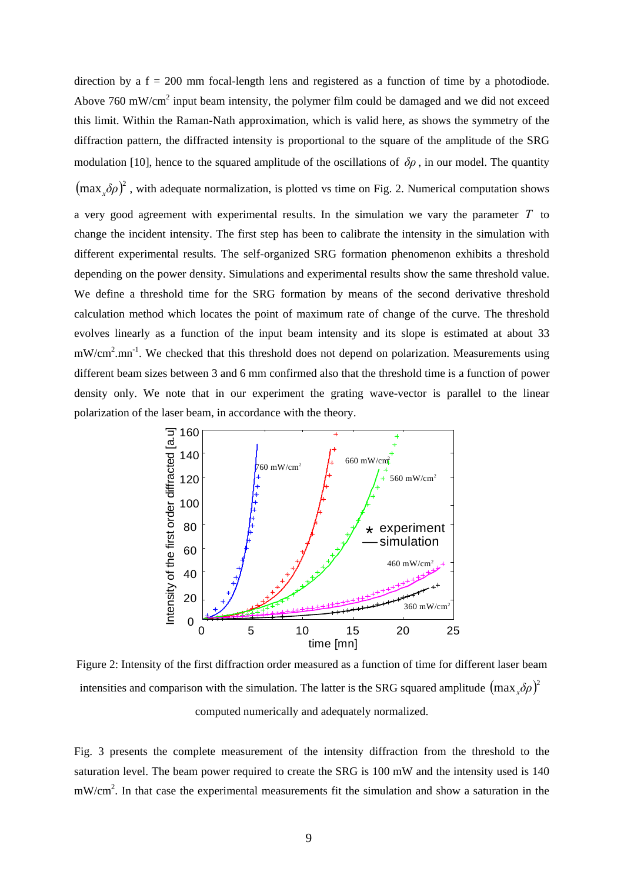direction by a  $f = 200$  mm focal-length lens and registered as a function of time by a photodiode. Above  $760 \text{ mW/cm}^2$  input beam intensity, the polymer film could be damaged and we did not exceed this limit. Within the Raman-Nath approximation, which is valid here, as shows the symmetry of the diffraction pattern, the diffracted intensity is proportional to the square of the amplitude of the SRG modulation [10], hence to the squared amplitude of the oscillations of  $\delta\rho$ , in our model. The quantity  $(\max_{x} \delta \rho)^2$ , with adequate normalization, is plotted vs time on Fig. 2. Numerical computation shows a very good agreement with experimental results. In the simulation we vary the parameter *T* to change the incident intensity. The first step has been to calibrate the intensity in the simulation with different experimental results. The self-organized SRG formation phenomenon exhibits a threshold depending on the power density. Simulations and experimental results show the same threshold value. We define a threshold time for the SRG formation by means of the second derivative threshold calculation method which locates the point of maximum rate of change of the curve. The threshold evolves linearly as a function of the input beam intensity and its slope is estimated at about 33 mW/cm<sup>2</sup>.mn<sup>-1</sup>. We checked that this threshold does not depend on polarization. Measurements using different beam sizes between 3 and 6 mm confirmed also that the threshold time is a function of power density only. We note that in our experiment the grating wave-vector is parallel to the linear polarization of the laser beam, in accordance with the theory.



Figure 2: Intensity of the first diffraction order measured as a function of time for different laser beam intensities and comparison with the simulation. The latter is the SRG squared amplitude  $(\max_x \delta \rho)^2$ computed numerically and adequately normalized.

Fig. 3 presents the complete measurement of the intensity diffraction from the threshold to the saturation level. The beam power required to create the SRG is 100 mW and the intensity used is 140 mW/cm<sup>2</sup>. In that case the experimental measurements fit the simulation and show a saturation in the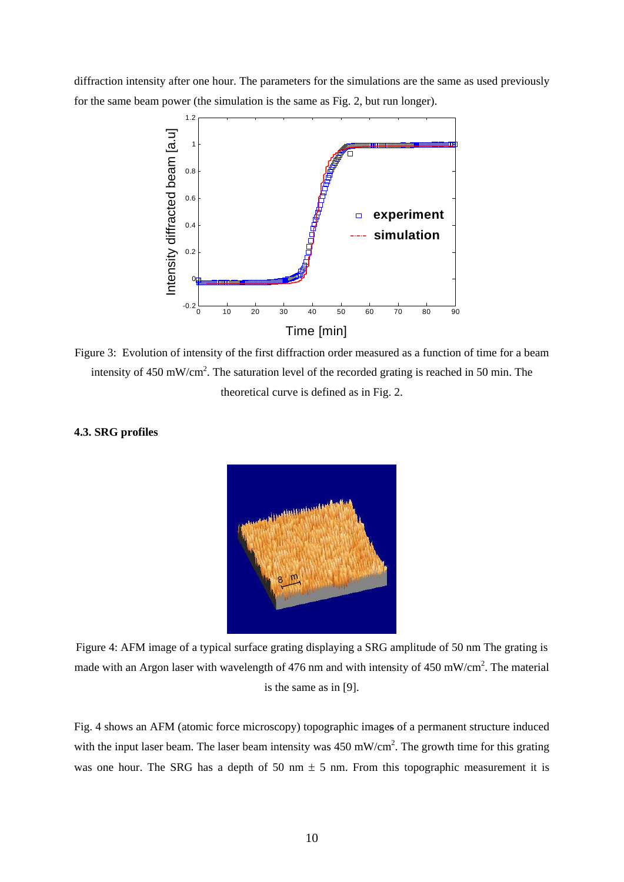diffraction intensity after one hour. The parameters for the simulations are the same as used previously for the same beam power (the simulation is the same as Fig. 2, but run longer).



Figure 3: Evolution of intensity of the first diffraction order measured as a function of time for a beam intensity of  $450 \text{ mW/cm}^2$ . The saturation level of the recorded grating is reached in 50 min. The theoretical curve is defined as in Fig. 2.

# **4.3. SRG profiles**



Figure 4: AFM image of a typical surface grating displaying a SRG amplitude of 50 nm The grating is made with an Argon laser with wavelength of 476 nm and with intensity of 450 mW/cm<sup>2</sup>. The material is the same as in [9].

Fig. 4 shows an AFM (atomic force microscopy) topographic images of a permanent structure induced with the input laser beam. The laser beam intensity was  $450 \text{ mW/cm}^2$ . The growth time for this grating was one hour. The SRG has a depth of 50 nm  $\pm$  5 nm. From this topographic measurement it is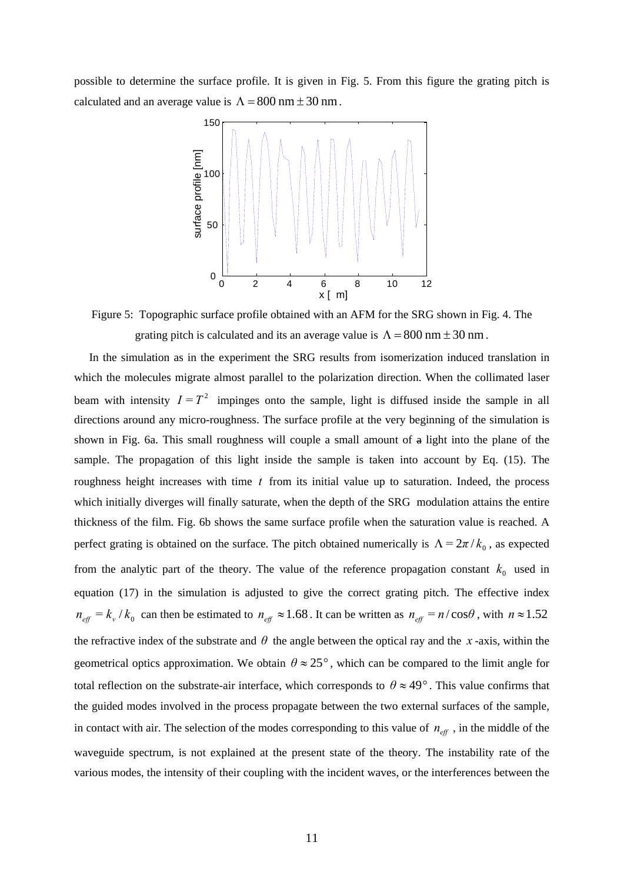possible to determine the surface profile. It is given in Fig. 5. From this figure the grating pitch is calculated and an average value is  $\Lambda = 800$  nm  $\pm 30$  nm.



Figure 5: Topographic surface profile obtained with an AFM for the SRG shown in Fig. 4. The grating pitch is calculated and its an average value is  $\Lambda = 800$  nm  $\pm 30$  nm.

In the simulation as in the experiment the SRG results from isomerization induced translation in which the molecules migrate almost parallel to the polarization direction. When the collimated laser beam with intensity  $I = T<sup>2</sup>$  impinges onto the sample, light is diffused inside the sample in all directions around any micro-roughness. The surface profile at the very beginning of the simulation is shown in Fig. 6a. This small roughness will couple a small amount of a light into the plane of the sample. The propagation of this light inside the sample is taken into account by Eq. (15). The roughness height increases with time *t* from its initial value up to saturation. Indeed, the process which initially diverges will finally saturate, when the depth of the SRG modulation attains the entire thickness of the film. Fig. 6b shows the same surface profile when the saturation value is reached. A perfect grating is obtained on the surface. The pitch obtained numerically is  $\Lambda = 2\pi / k_0$ , as expected from the analytic part of the theory. The value of the reference propagation constant  $k_0$  used in equation (17) in the simulation is adjusted to give the correct grating pitch. The effective index  $n_{\text{eff}} = k_v / k_0$  can then be estimated to  $n_{\text{eff}} \approx 1.68$ . It can be written as  $n_{\text{eff}} = n / \cos \theta$ , with  $n \approx 1.52$ the refractive index of the substrate and  $\theta$  the angle between the optical ray and the *x*-axis, within the geometrical optics approximation. We obtain  $\theta \approx 25^{\circ}$ , which can be compared to the limit angle for total reflection on the substrate-air interface, which corresponds to  $\theta \approx 49^\circ$ . This value confirms that the guided modes involved in the process propagate between the two external surfaces of the sample, in contact with air. The selection of the modes corresponding to this value of  $n_{\text{eff}}$ , in the middle of the waveguide spectrum, is not explained at the present state of the theory. The instability rate of the various modes, the intensity of their coupling with the incident waves, or the interferences between the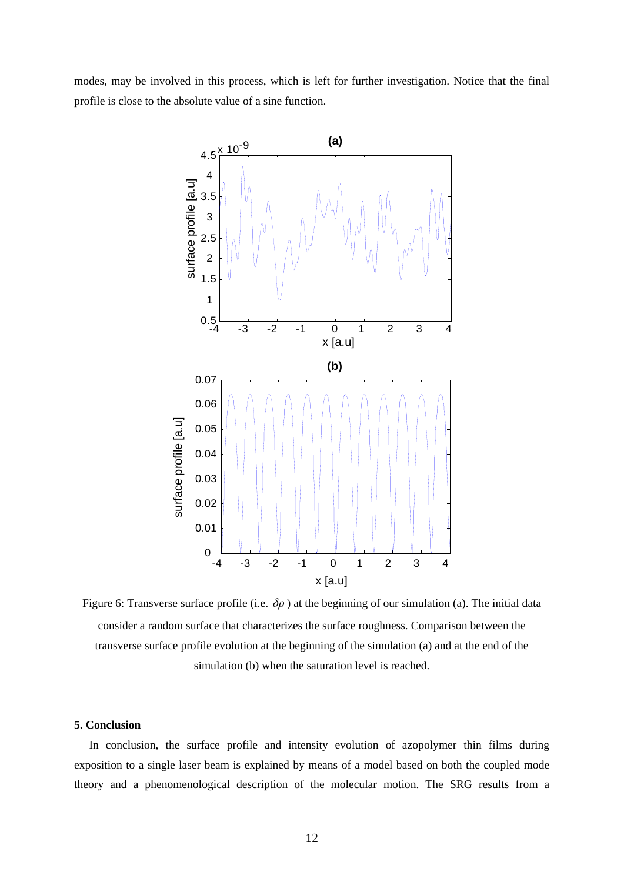modes, may be involved in this process, which is left for further investigation. Notice that the final profile is close to the absolute value of a sine function.



Figure 6: Transverse surface profile (i.e. *δρ* ) at the beginning of our simulation (a). The initial data consider a random surface that characterizes the surface roughness. Comparison between the transverse surface profile evolution at the beginning of the simulation (a) and at the end of the simulation (b) when the saturation level is reached.

#### **5. Conclusion**

In conclusion, the surface profile and intensity evolution of azopolymer thin films during exposition to a single laser beam is explained by means of a model based on both the coupled mode theory and a phenomenological description of the molecular motion. The SRG results from a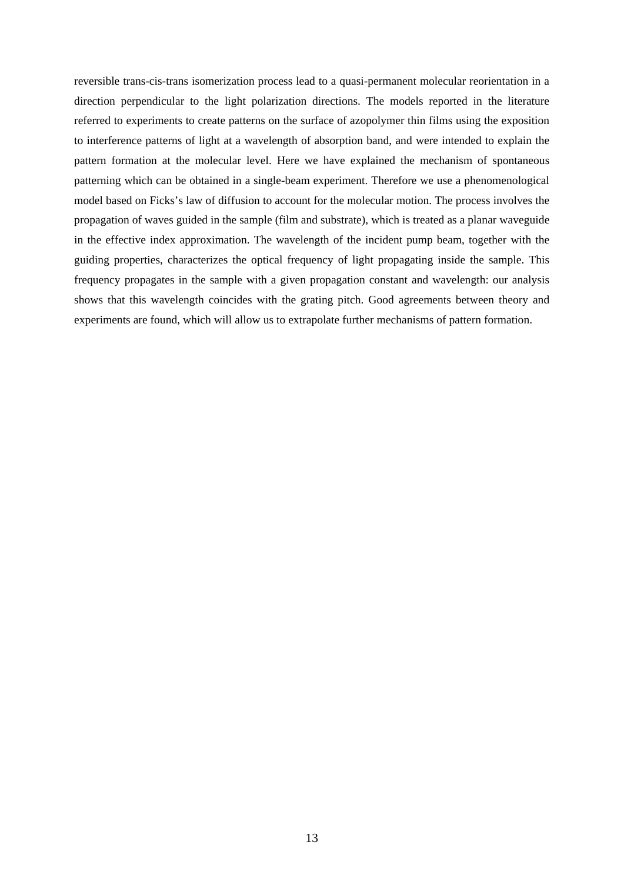reversible trans-cis-trans isomerization process lead to a quasi-permanent molecular reorientation in a direction perpendicular to the light polarization directions. The models reported in the literature referred to experiments to create patterns on the surface of azopolymer thin films using the exposition to interference patterns of light at a wavelength of absorption band, and were intended to explain the pattern formation at the molecular level. Here we have explained the mechanism of spontaneous patterning which can be obtained in a single-beam experiment. Therefore we use a phenomenological model based on Ficks's law of diffusion to account for the molecular motion. The process involves the propagation of waves guided in the sample (film and substrate), which is treated as a planar waveguide in the effective index approximation. The wavelength of the incident pump beam, together with the guiding properties, characterizes the optical frequency of light propagating inside the sample. This frequency propagates in the sample with a given propagation constant and wavelength: our analysis shows that this wavelength coincides with the grating pitch. Good agreements between theory and experiments are found, which will allow us to extrapolate further mechanisms of pattern formation.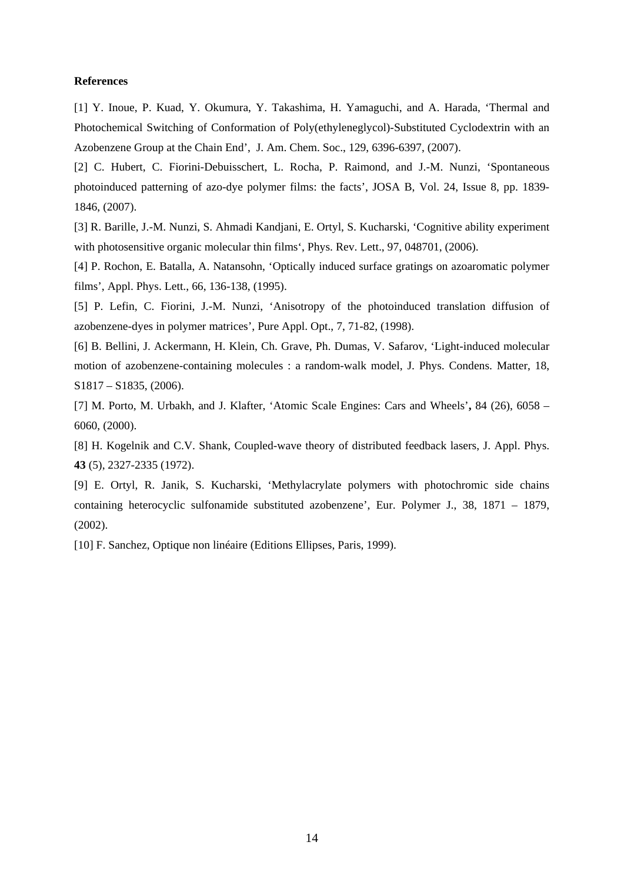#### **References**

[1] Y. Inoue, P. Kuad, Y. Okumura, Y. Takashima, H. Yamaguchi, and A. Harada, 'Thermal and Photochemical Switching of Conformation of Poly(ethyleneglycol)-Substituted Cyclodextrin with an Azobenzene Group at the Chain End', J. Am. Chem. Soc., 129, 6396-6397, (2007).

[2] C. Hubert, C. Fiorini-Debuisschert, L. Rocha, P. Raimond, and J.-M. Nunzi, 'Spontaneous photoinduced patterning of azo-dye polymer films: the facts', JOSA B, Vol. 24, Issue 8, pp. 1839- 1846, (2007).

[3] R. Barille, J.-M. Nunzi, S. Ahmadi Kandjani, E. Ortyl, S. Kucharski, 'Cognitive ability experiment with photosensitive organic molecular thin films', Phys. Rev. Lett., 97, 048701, (2006).

[4] P. Rochon, E. Batalla, A. Natansohn, 'Optically induced surface gratings on azoaromatic polymer films', Appl. Phys. Lett., 66, 136-138, (1995).

[5] P. Lefin, C. Fiorini, J.-M. Nunzi, 'Anisotropy of the photoinduced translation diffusion of azobenzene-dyes in polymer matrices', Pure Appl. Opt., 7, 71-82, (1998).

[6] B. Bellini, J. Ackermann, H. Klein, Ch. Grave, Ph. Dumas, V. Safarov, 'Light-induced molecular motion of azobenzene-containing molecules : a random-walk model, J. Phys. Condens. Matter, 18, S1817 – S1835, (2006).

[7] M. Porto, M. Urbakh, and J. Klafter, 'Atomic Scale Engines: Cars and Wheels'**,** 84 (26), 6058 – 6060, (2000).

[8] H. Kogelnik and C.V. Shank, Coupled-wave theory of distributed feedback lasers, J. Appl. Phys. **43** (5), 2327-2335 (1972).

[9] E. Ortyl, R. Janik, S. Kucharski, 'Methylacrylate polymers with photochromic side chains containing heterocyclic sulfonamide substituted azobenzene', Eur. Polymer J., 38, 1871 – 1879, (2002).

[10] F. Sanchez, Optique non linéaire (Editions Ellipses, Paris, 1999).